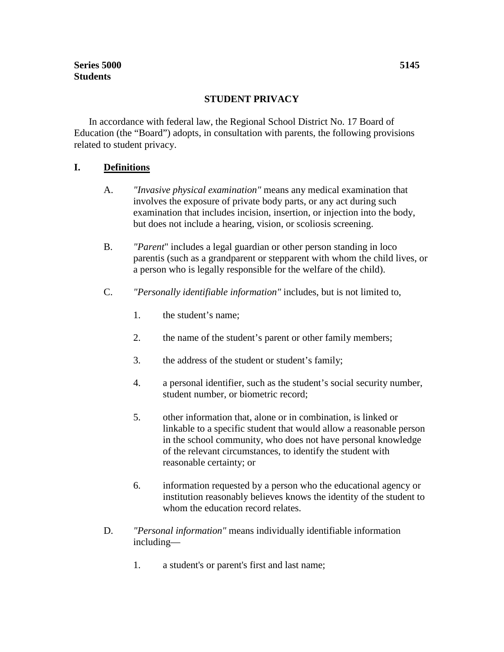#### **STUDENT PRIVACY**

In accordance with federal law, the Regional School District No. 17 Board of Education (the "Board") adopts, in consultation with parents, the following provisions related to student privacy.

#### **I. Definitions**

- A. *"Invasive physical examination"* means any medical examination that involves the exposure of private body parts, or any act during such examination that includes incision, insertion, or injection into the body, but does not include a hearing, vision, or scoliosis screening.
- B. *"Parent*" includes a legal guardian or other person standing in loco parentis (such as a grandparent or stepparent with whom the child lives, or a person who is legally responsible for the welfare of the child).
- C. *"Personally identifiable information"* includes, but is not limited to,
	- 1. the student's name;
	- 2. the name of the student's parent or other family members;
	- 3. the address of the student or student's family;
	- 4. a personal identifier, such as the student's social security number, student number, or biometric record;
	- 5. other information that, alone or in combination, is linked or linkable to a specific student that would allow a reasonable person in the school community, who does not have personal knowledge of the relevant circumstances, to identify the student with reasonable certainty; or
	- 6. information requested by a person who the educational agency or institution reasonably believes knows the identity of the student to whom the education record relates.
- D. *"Personal information"* means individually identifiable information including—
	- 1. a student's or parent's first and last name;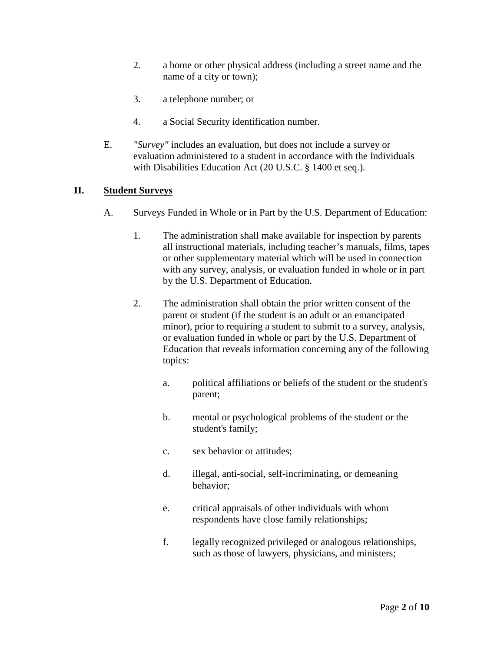- 2. a home or other physical address (including a street name and the name of a city or town);
- 3. a telephone number; or
- 4. a Social Security identification number.
- E. *"Survey"* includes an evaluation, but does not include a survey or evaluation administered to a student in accordance with the Individuals with Disabilities Education Act (20 U.S.C. § 1400 et seq.).

## **II. Student Surveys**

- A. Surveys Funded in Whole or in Part by the U.S. Department of Education:
	- 1. The administration shall make available for inspection by parents all instructional materials, including teacher's manuals, films, tapes or other supplementary material which will be used in connection with any survey, analysis, or evaluation funded in whole or in part by the U.S. Department of Education.
	- 2. The administration shall obtain the prior written consent of the parent or student (if the student is an adult or an emancipated minor), prior to requiring a student to submit to a survey, analysis, or evaluation funded in whole or part by the U.S. Department of Education that reveals information concerning any of the following topics:
		- a. political affiliations or beliefs of the student or the student's parent;
		- b. mental or psychological problems of the student or the student's family;
		- c. sex behavior or attitudes;
		- d. illegal, anti-social, self-incriminating, or demeaning behavior;
		- e. critical appraisals of other individuals with whom respondents have close family relationships;
		- f. legally recognized privileged or analogous relationships, such as those of lawyers, physicians, and ministers;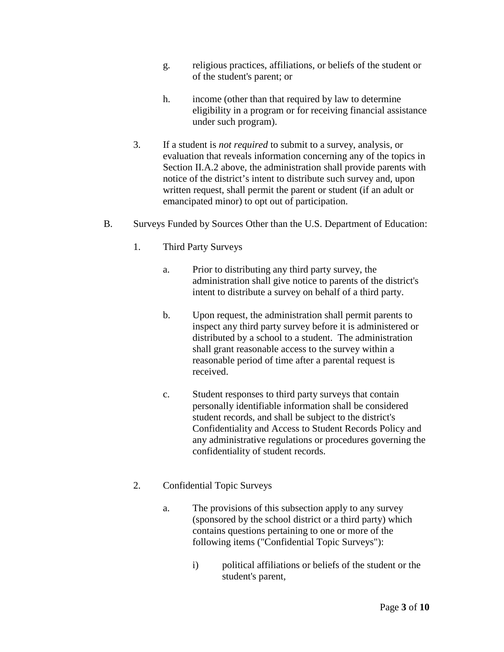- g. religious practices, affiliations, or beliefs of the student or of the student's parent; or
- h. income (other than that required by law to determine eligibility in a program or for receiving financial assistance under such program).
- 3. If a student is *not required* to submit to a survey, analysis, or evaluation that reveals information concerning any of the topics in Section II.A.2 above, the administration shall provide parents with notice of the district's intent to distribute such survey and, upon written request, shall permit the parent or student (if an adult or emancipated minor) to opt out of participation.
- B. Surveys Funded by Sources Other than the U.S. Department of Education:
	- 1. Third Party Surveys
		- a. Prior to distributing any third party survey, the administration shall give notice to parents of the district's intent to distribute a survey on behalf of a third party.
		- b. Upon request, the administration shall permit parents to inspect any third party survey before it is administered or distributed by a school to a student. The administration shall grant reasonable access to the survey within a reasonable period of time after a parental request is received.
		- c. Student responses to third party surveys that contain personally identifiable information shall be considered student records, and shall be subject to the district's Confidentiality and Access to Student Records Policy and any administrative regulations or procedures governing the confidentiality of student records.
	- 2. Confidential Topic Surveys
		- a. The provisions of this subsection apply to any survey (sponsored by the school district or a third party) which contains questions pertaining to one or more of the following items ("Confidential Topic Surveys"):
			- i) political affiliations or beliefs of the student or the student's parent,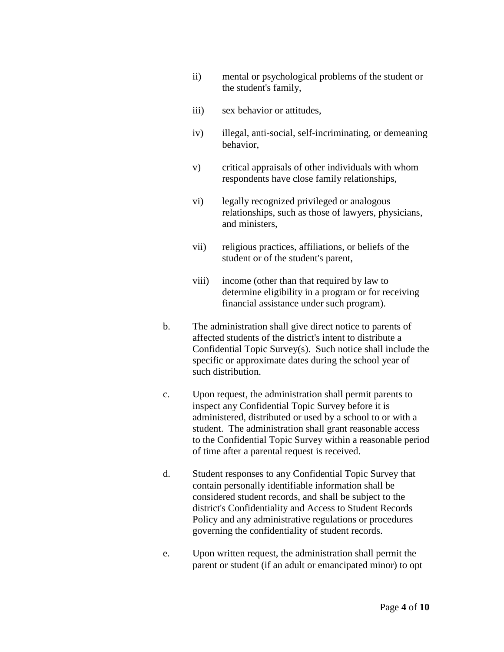- ii) mental or psychological problems of the student or the student's family,
- iii) sex behavior or attitudes,
- iv) illegal, anti-social, self-incriminating, or demeaning behavior,
- v) critical appraisals of other individuals with whom respondents have close family relationships,
- vi) legally recognized privileged or analogous relationships, such as those of lawyers, physicians, and ministers,
- vii) religious practices, affiliations, or beliefs of the student or of the student's parent,
- viii) income (other than that required by law to determine eligibility in a program or for receiving financial assistance under such program).
- b. The administration shall give direct notice to parents of affected students of the district's intent to distribute a Confidential Topic Survey(s). Such notice shall include the specific or approximate dates during the school year of such distribution.
- c. Upon request, the administration shall permit parents to inspect any Confidential Topic Survey before it is administered, distributed or used by a school to or with a student. The administration shall grant reasonable access to the Confidential Topic Survey within a reasonable period of time after a parental request is received.
- d. Student responses to any Confidential Topic Survey that contain personally identifiable information shall be considered student records, and shall be subject to the district's Confidentiality and Access to Student Records Policy and any administrative regulations or procedures governing the confidentiality of student records.
- e. Upon written request, the administration shall permit the parent or student (if an adult or emancipated minor) to opt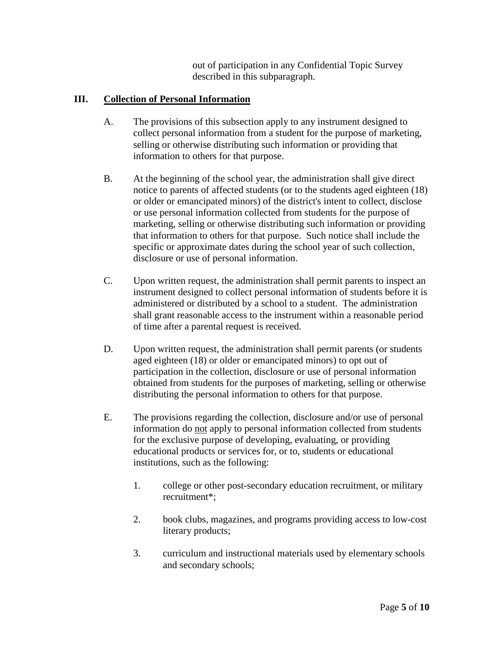out of participation in any Confidential Topic Survey described in this subparagraph.

# **III. Collection of Personal Information**

- A. The provisions of this subsection apply to any instrument designed to collect personal information from a student for the purpose of marketing, selling or otherwise distributing such information or providing that information to others for that purpose.
- B. At the beginning of the school year, the administration shall give direct notice to parents of affected students (or to the students aged eighteen (18) or older or emancipated minors) of the district's intent to collect, disclose or use personal information collected from students for the purpose of marketing, selling or otherwise distributing such information or providing that information to others for that purpose. Such notice shall include the specific or approximate dates during the school year of such collection, disclosure or use of personal information.
- C. Upon written request, the administration shall permit parents to inspect an instrument designed to collect personal information of students before it is administered or distributed by a school to a student. The administration shall grant reasonable access to the instrument within a reasonable period of time after a parental request is received.
- D. Upon written request, the administration shall permit parents (or students aged eighteen (18) or older or emancipated minors) to opt out of participation in the collection, disclosure or use of personal information obtained from students for the purposes of marketing, selling or otherwise distributing the personal information to others for that purpose.
- E. The provisions regarding the collection, disclosure and/or use of personal information do not apply to personal information collected from students for the exclusive purpose of developing, evaluating, or providing educational products or services for, or to, students or educational institutions, such as the following:
	- 1. college or other post-secondary education recruitment, or military recruitment\*;
	- 2. book clubs, magazines, and programs providing access to low-cost literary products;
	- 3. curriculum and instructional materials used by elementary schools and secondary schools;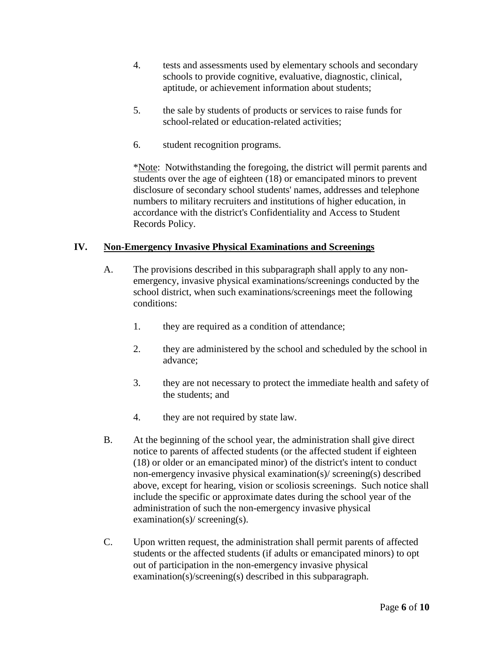- 4. tests and assessments used by elementary schools and secondary schools to provide cognitive, evaluative, diagnostic, clinical, aptitude, or achievement information about students;
- 5. the sale by students of products or services to raise funds for school-related or education-related activities;
- 6. student recognition programs.

\*Note: Notwithstanding the foregoing, the district will permit parents and students over the age of eighteen (18) or emancipated minors to prevent disclosure of secondary school students' names, addresses and telephone numbers to military recruiters and institutions of higher education, in accordance with the district's Confidentiality and Access to Student Records Policy.

## **IV. Non-Emergency Invasive Physical Examinations and Screenings**

- A. The provisions described in this subparagraph shall apply to any nonemergency, invasive physical examinations/screenings conducted by the school district, when such examinations/screenings meet the following conditions:
	- 1. they are required as a condition of attendance;
	- 2. they are administered by the school and scheduled by the school in advance;
	- 3. they are not necessary to protect the immediate health and safety of the students; and
	- 4. they are not required by state law.
- B. At the beginning of the school year, the administration shall give direct notice to parents of affected students (or the affected student if eighteen (18) or older or an emancipated minor) of the district's intent to conduct non-emergency invasive physical examination(s)/ screening(s) described above, except for hearing, vision or scoliosis screenings. Such notice shall include the specific or approximate dates during the school year of the administration of such the non-emergency invasive physical examination(s)/ screening(s).
- C. Upon written request, the administration shall permit parents of affected students or the affected students (if adults or emancipated minors) to opt out of participation in the non-emergency invasive physical examination(s)/screening(s) described in this subparagraph.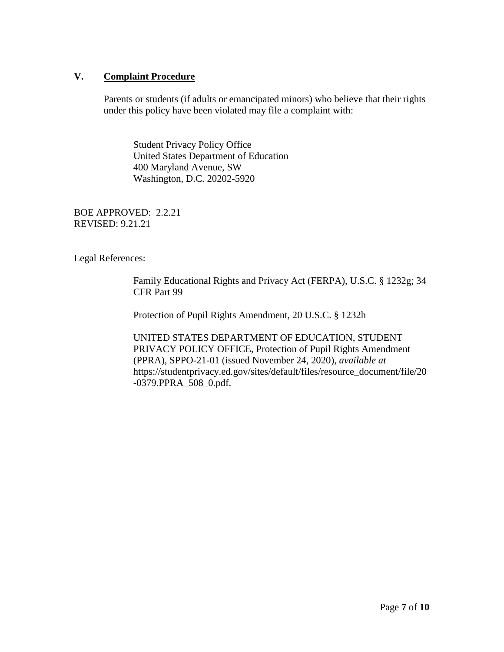### **V. Complaint Procedure**

Parents or students (if adults or emancipated minors) who believe that their rights under this policy have been violated may file a complaint with:

Student Privacy Policy Office United States Department of Education 400 Maryland Avenue, SW Washington, D.C. 20202-5920

BOE APPROVED: 2.2.21 REVISED: 9.21.21

Legal References:

Family Educational Rights and Privacy Act (FERPA), U.S.C. § 1232g; 34 CFR Part 99

Protection of Pupil Rights Amendment, 20 U.S.C. § 1232h

UNITED STATES DEPARTMENT OF EDUCATION, STUDENT PRIVACY POLICY OFFICE, Protection of Pupil Rights Amendment (PPRA), SPPO-21-01 (issued November 24, 2020), *available at*  https://studentprivacy.ed.gov/sites/default/files/resource\_document/file/20 -0379.PPRA\_508\_0.pdf.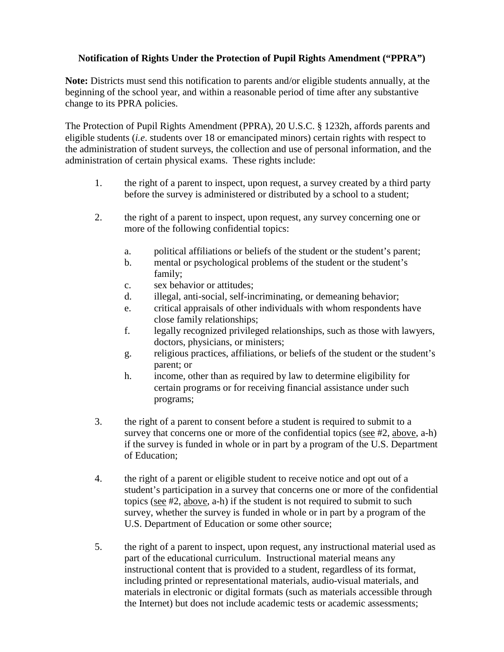## **Notification of Rights Under the Protection of Pupil Rights Amendment ("PPRA")**

**Note:** Districts must send this notification to parents and/or eligible students annually, at the beginning of the school year, and within a reasonable period of time after any substantive change to its PPRA policies.

The Protection of Pupil Rights Amendment (PPRA), 20 U.S.C. § 1232h, affords parents and eligible students (*i.e*. students over 18 or emancipated minors) certain rights with respect to the administration of student surveys, the collection and use of personal information, and the administration of certain physical exams. These rights include:

- 1. the right of a parent to inspect, upon request, a survey created by a third party before the survey is administered or distributed by a school to a student;
- 2. the right of a parent to inspect, upon request, any survey concerning one or more of the following confidential topics:
	- a. political affiliations or beliefs of the student or the student's parent;
	- b. mental or psychological problems of the student or the student's family;
	- c. sex behavior or attitudes;
	- d. illegal, anti-social, self-incriminating, or demeaning behavior;
	- e. critical appraisals of other individuals with whom respondents have close family relationships;
	- f. legally recognized privileged relationships, such as those with lawyers, doctors, physicians, or ministers;
	- g. religious practices, affiliations, or beliefs of the student or the student's parent; or
	- h. income, other than as required by law to determine eligibility for certain programs or for receiving financial assistance under such programs;
- 3. the right of a parent to consent before a student is required to submit to a survey that concerns one or more of the confidential topics (see #2, above, a-h) if the survey is funded in whole or in part by a program of the U.S. Department of Education;
- 4. the right of a parent or eligible student to receive notice and opt out of a student's participation in a survey that concerns one or more of the confidential topics (see #2, above, a-h) if the student is not required to submit to such survey, whether the survey is funded in whole or in part by a program of the U.S. Department of Education or some other source;
- 5. the right of a parent to inspect, upon request, any instructional material used as part of the educational curriculum. Instructional material means any instructional content that is provided to a student, regardless of its format, including printed or representational materials, audio-visual materials, and materials in electronic or digital formats (such as materials accessible through the Internet) but does not include academic tests or academic assessments;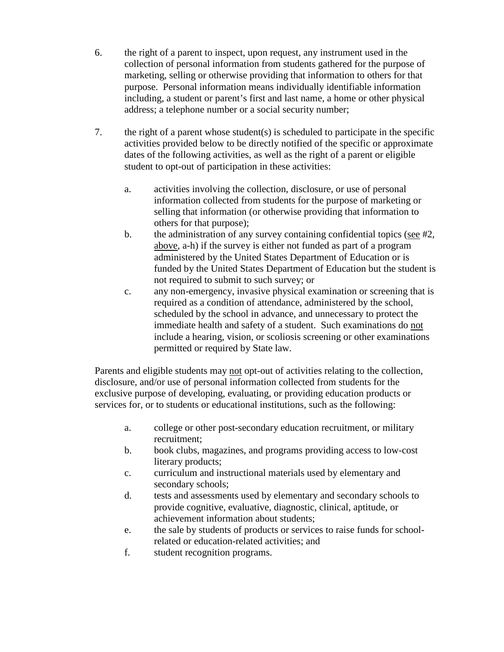- 6. the right of a parent to inspect, upon request, any instrument used in the collection of personal information from students gathered for the purpose of marketing, selling or otherwise providing that information to others for that purpose. Personal information means individually identifiable information including, a student or parent's first and last name, a home or other physical address; a telephone number or a social security number;
- 7. the right of a parent whose student(s) is scheduled to participate in the specific activities provided below to be directly notified of the specific or approximate dates of the following activities, as well as the right of a parent or eligible student to opt-out of participation in these activities:
	- a. activities involving the collection, disclosure, or use of personal information collected from students for the purpose of marketing or selling that information (or otherwise providing that information to others for that purpose);
	- b. the administration of any survey containing confidential topics (see  $#2$ , above, a-h) if the survey is either not funded as part of a program administered by the United States Department of Education or is funded by the United States Department of Education but the student is not required to submit to such survey; or
	- c. any non-emergency, invasive physical examination or screening that is required as a condition of attendance, administered by the school, scheduled by the school in advance, and unnecessary to protect the immediate health and safety of a student. Such examinations do not include a hearing, vision, or scoliosis screening or other examinations permitted or required by State law.

Parents and eligible students may not opt-out of activities relating to the collection, disclosure, and/or use of personal information collected from students for the exclusive purpose of developing, evaluating, or providing education products or services for, or to students or educational institutions, such as the following:

- a. college or other post-secondary education recruitment, or military recruitment;
- b. book clubs, magazines, and programs providing access to low-cost literary products;
- c. curriculum and instructional materials used by elementary and secondary schools;
- d. tests and assessments used by elementary and secondary schools to provide cognitive, evaluative, diagnostic, clinical, aptitude, or achievement information about students;
- e. the sale by students of products or services to raise funds for schoolrelated or education-related activities; and
- f. student recognition programs.